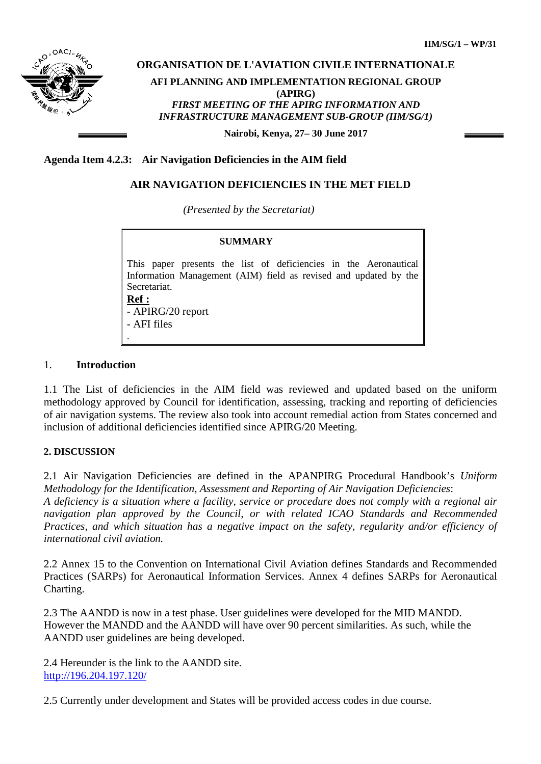

# **ORGANISATION DE L'AVIATION CIVILE INTERNATIONALE AFI PLANNING AND IMPLEMENTATION REGIONAL GROUP (APIRG)** *FIRST MEETING OF THE APIRG INFORMATION AND INFRASTRUCTURE MANAGEMENT SUB-GROUP (IIM/SG/1)*

**Nairobi, Kenya, 27– 30 June 2017**

### **Agenda Item 4.2.3: Air Navigation Deficiencies in the AIM field**

### **AIR NAVIGATION DEFICIENCIES IN THE MET FIELD**

*(Presented by the Secretariat)*

#### **SUMMARY**

This paper presents the list of deficiencies in the Aeronautical Information Management (AIM) field as revised and updated by the Secretariat. **Ref :** 

- APIRG/20 report - AFI files .

#### 1. **Introduction**

1.1 The List of deficiencies in the AIM field was reviewed and updated based on the uniform methodology approved by Council for identification, assessing, tracking and reporting of deficiencies of air navigation systems. The review also took into account remedial action from States concerned and inclusion of additional deficiencies identified since APIRG/20 Meeting.

#### **2. DISCUSSION**

2.1 Air Navigation Deficiencies are defined in the APANPIRG Procedural Handbook's *Uniform Methodology for the Identification, Assessment and Reporting of Air Navigation Deficiencies*: *A deficiency is a situation where a facility, service or procedure does not comply with a regional air navigation plan approved by the Council, or with related ICAO Standards and Recommended Practices, and which situation has a negative impact on the safety, regularity and/or efficiency of international civil aviation.* 

2.2 Annex 15 to the Convention on International Civil Aviation defines Standards and Recommended Practices (SARPs) for Aeronautical Information Services. Annex 4 defines SARPs for Aeronautical Charting.

2.3 The AANDD is now in a test phase. User guidelines were developed for the MID MANDD. However the MANDD and the AANDD will have over 90 percent similarities. As such, while the AANDD user guidelines are being developed.

2.4 Hereunder is the link to the AANDD site. <http://196.204.197.120/>

2.5 Currently under development and States will be provided access codes in due course.